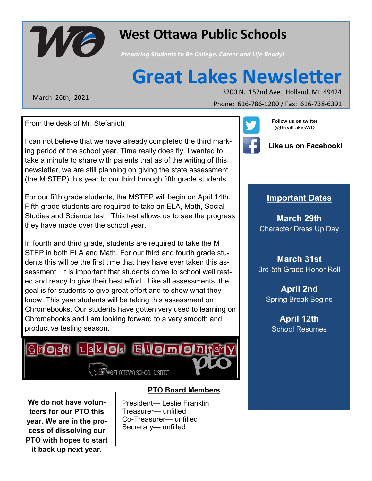

## **West Ottawa Public Schools West Ottawa Public Schools**

*Preparing Students to Be College, Career and Life Ready! Preparing Students to Be College, Career and Life Ready!*

# **Great Lakes Newsletter**

March 26th, 2021

May 2016 November 1, 2013 November 1, 2013<br>2014 November 1, 2013<br>2014 November 1, 2013

Phone: 616-786-1300 / Fax: 616-786-1391 Phone: 616-786-1200 / Fax: 616-738-6391

From the desk of Mr. Stefanich

I can not believe that we have already completed the third marking period of the school year. Time really does fly. I wanted to take a minute to share with parents that as of the writing of this newsletter, we are still planning on giving the state assessment (the M STEP) this year to our third through fifth grade students.

For our fifth grade students, the MSTEP will begin on April 14th. Fifth grade students are required to take an ELA, Math, Social Studies and Science test. This test allows us to see the progress they have made over the school year.

In fourth and third grade, students are required to take the M STEP in both ELA and Math. For our third and fourth grade students this will be the first time that they have ever taken this assessment. It is important that students come to school well rested and ready to give their best effort. Like all assessments, the goal is for students to give great effort and to show what they know. This year students will be taking this assessment on Chromebooks. Our students have gotten very used to learning on Chromebooks and I am looking forward to a very smooth and productive testing season.



**We do not have volunteers for our PTO this year. We are in the process of dissolving our PTO with hopes to start it back up next year.**

#### **PTO Board Members**

President— Leslie Franklin Treasurer— unfilled Co-Treasurer— unfilled Secretary— unfilled



**Follow us on twitter @GreatLakesWO**



**Like us on Facebook!**

#### **Important Dates**

**March 29th** Character Dress Up Day

**March 31st** 3rd-5th Grade Honor Roll

**April 2nd** Spring Break Begins

**April 12th** School Resumes